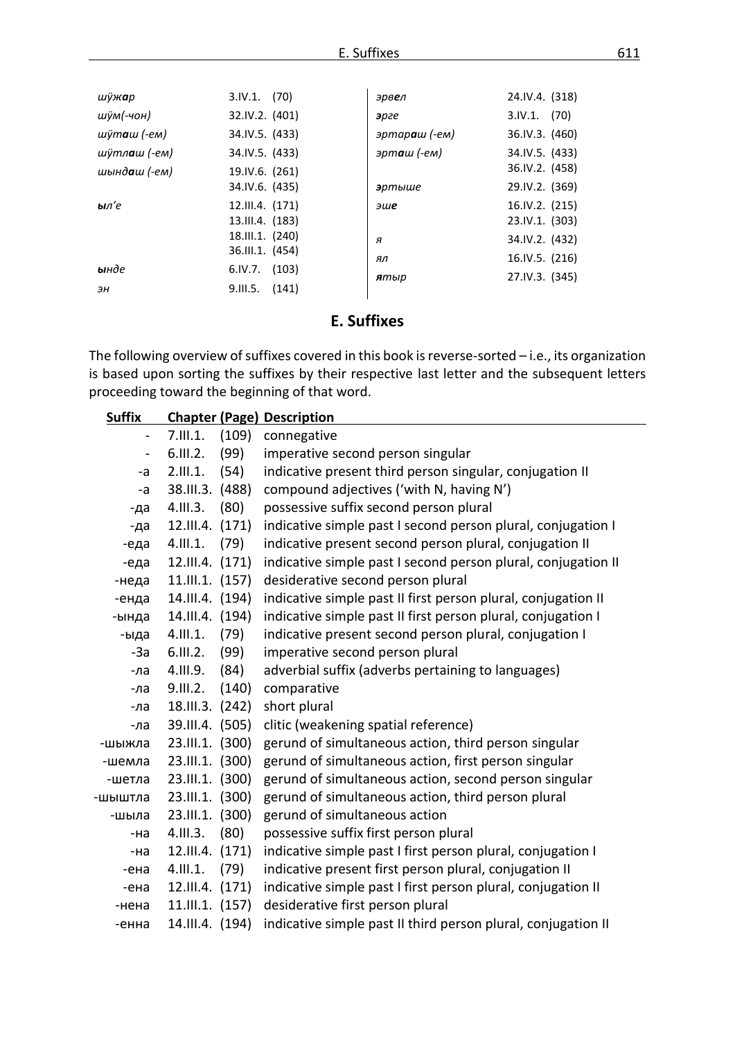| шÿж <b>а</b> р        | $3.IV.1.$ (70)   | эрв <b>е</b> л       | 24.IV.4. (318) |
|-----------------------|------------------|----------------------|----------------|
| шÿм(-чон)             | 32.IV.2. (401)   | эрге                 | $3.IV.1.$ (70) |
| шÿт <b>а</b> ш (-ем)  | 34.IV.5. (433)   | эртараш (-ем)        | 36.IV.3. (460) |
| шўтл <b>а</b> ш (-ем) | 34.IV.5. (433)   | эрт <b>а</b> ш (-ем) | 34.IV.5. (433) |
| шынд <b>а</b> ш (-ем) | 19.IV.6. (261)   |                      | 36.IV.2. (458) |
|                       | 34.IV.6. (435)   | эртыше               | 29.IV.2. (369) |
| ыл'е                  | 12.III.4. (171)  | эше                  | 16.IV.2. (215) |
|                       | 13.III.4. (183)  |                      | 23.IV.1. (303) |
|                       | 18.III.1. (240)  | я                    | 34.IV.2. (432) |
|                       | 36.III.1. (454)  | ял                   | 16.IV.5. (216) |
| ынде                  | $6.IV.7.$ (103)  | ятыр                 | 27.IV.3. (345) |
| ЭН                    | $9.111.5.$ (141) |                      |                |

## E. Suffixes

The following overview of suffixes covered in this book is reverse-sorted - i.e., its organization is based upon sorting the suffixes by their respective last letter and the subsequent letters proceeding toward the beginning of that word.

| <b>Suffix</b>            |                 |       | <b>Chapter (Page) Description</b>                             |
|--------------------------|-----------------|-------|---------------------------------------------------------------|
|                          | 7.111.1.        | (109) | connegative                                                   |
| $\overline{\phantom{0}}$ | 6.111.2.        | (99)  | imperative second person singular                             |
| -a                       | 2.111.1.        | (54)  | indicative present third person singular, conjugation II      |
| -a                       | 38.III.3.       | (488) | compound adjectives ('with N, having N')                      |
| -да                      | 4.111.3.        | (80)  | possessive suffix second person plural                        |
| -да                      | 12.III.4.       | (171) | indicative simple past I second person plural, conjugation I  |
| -еда                     | 4.111.1.        | (79)  | indicative present second person plural, conjugation II       |
| -еда                     | 12.III.4. (171) |       | indicative simple past I second person plural, conjugation II |
| -неда                    | 11.III.1. (157) |       | desiderative second person plural                             |
| -енда                    | 14.III.4. (194) |       | indicative simple past II first person plural, conjugation II |
| -ында                    | 14.III.4. (194) |       | indicative simple past II first person plural, conjugation I  |
| -ыда                     | 4.111.1.        | (79)  | indicative present second person plural, conjugation I        |
| $-3a$                    | 6.111.2.        | (99)  | imperative second person plural                               |
| -ла                      | 4.III.9.        | (84)  | adverbial suffix (adverbs pertaining to languages)            |
| -ла                      | 9.III.2.        | (140) | comparative                                                   |
| -ла                      | 18.III.3.       | (242) | short plural                                                  |
| -ла                      | 39.III.4. (505) |       | clitic (weakening spatial reference)                          |
| -шыжла                   | 23.III.1. (300) |       | gerund of simultaneous action, third person singular          |
| -шемла                   | 23.III.1. (300) |       | gerund of simultaneous action, first person singular          |
| -шетла                   | 23.III.1. (300) |       | gerund of simultaneous action, second person singular         |
| шыштла                   | 23.III.1. (300) |       | gerund of simultaneous action, third person plural            |
| -шыла                    | 23.III.1.       | (300) | gerund of simultaneous action                                 |
| -на                      | 4.111.3.        | (80)  | possessive suffix first person plural                         |
| -на                      | 12.III.4.       | (171) | indicative simple past I first person plural, conjugation I   |
| -ена                     | 4.111.1.        | (79)  | indicative present first person plural, conjugation II        |
| -ена                     | 12.III.4.       | (171) | indicative simple past I first person plural, conjugation II  |
| -нена                    | 11.III.1. (157) |       | desiderative first person plural                              |
| -енна                    | 14.III.4. (194) |       | indicative simple past II third person plural, conjugation II |

e.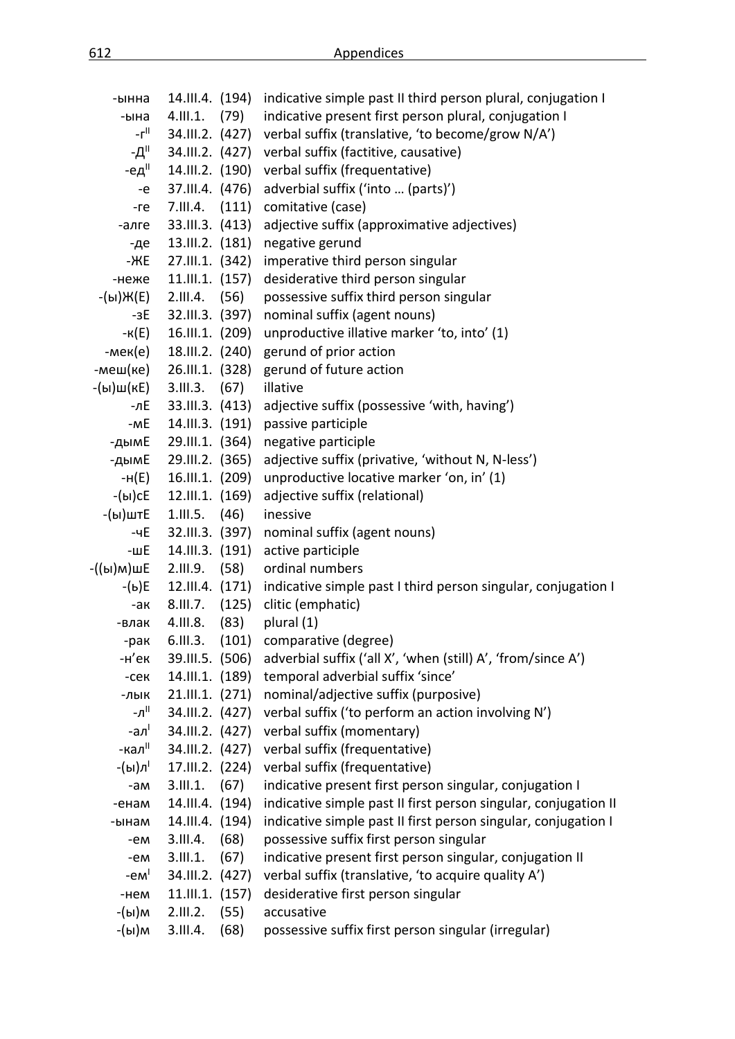| -ынна                               | 14.III.4. (194) |       | indicative simple past II third person plural, conjugation I                  |
|-------------------------------------|-----------------|-------|-------------------------------------------------------------------------------|
| -ына                                | 4.111.1.        | (79)  | indicative present first person plural, conjugation I                         |
| -г"                                 | 34.III.2. (427) |       | verbal suffix (translative, 'to become/grow N/A')                             |
| -Д"                                 |                 |       | 34.III.2. (427) verbal suffix (factitive, causative)                          |
| -ед"                                | 14.III.2. (190) |       | verbal suffix (frequentative)                                                 |
| -e                                  | 37.III.4. (476) |       | adverbial suffix ('into  (parts)')                                            |
| $-re$                               | 7.III.4.        | (111) | comitative (case)                                                             |
| -алге                               | 33.III.3. (413) |       | adjective suffix (approximative adjectives)                                   |
| -де                                 | 13.III.2. (181) |       | negative gerund                                                               |
| -ЖE                                 | 27.III.1. (342) |       | imperative third person singular                                              |
| -неже                               | 11.III.1. (157) |       | desiderative third person singular                                            |
| -(ы)Ж(Е)                            | 2.111.4.        | (56)  | possessive suffix third person singular                                       |
| -3E                                 | 32.III.3. (397) |       | nominal suffix (agent nouns)                                                  |
| -к(E)                               | 16.III.1. (209) |       | unproductive illative marker 'to, into' (1)                                   |
| -мек(е)                             | 18.III.2. (240) |       | gerund of prior action                                                        |
| -меш(ке)                            | 26.III.1. (328) |       | gerund of future action                                                       |
| -(ы)ш(кЕ)                           | 3.111.3.        | (67)  | illative                                                                      |
| -лЕ                                 | 33.III.3. (413) |       | adjective suffix (possessive 'with, having')                                  |
| -mE                                 | 14.III.3. (191) |       | passive participle                                                            |
| -дымЕ                               | 29.III.1. (364) |       | negative participle                                                           |
| -дымЕ                               | 29.III.2. (365) |       | adjective suffix (privative, 'without N, N-less')                             |
| -н(E)                               | 16.III.1. (209) |       | unproductive locative marker 'on, in' (1)                                     |
| -(ы)сЕ                              | 12.III.1. (169) |       | adjective suffix (relational)                                                 |
| -(ы)штЕ                             | 1.111.5.        | (46)  | inessive                                                                      |
| -чE                                 | 32.III.3. (397) |       | nominal suffix (agent nouns)                                                  |
| -шЕ                                 | 14.III.3. (191) |       | active participle                                                             |
| -((ы)м)шЕ                           | 2.III.9.        | (58)  | ordinal numbers                                                               |
| -(ь)Е                               |                 |       | 12.III.4. (171) indicative simple past I third person singular, conjugation I |
| -ак                                 | 8.III.7.        | (125) | clitic (emphatic)                                                             |
| -влак                               | 4.III.8.        | (83)  | plural (1)                                                                    |
| -рак                                | 6.111.3.        | (101) | comparative (degree)                                                          |
| -н'ек                               |                 |       | 39.III.5. (506) adverbial suffix ('all X', 'when (still) A', 'from/since A')  |
| $-CEK$                              | 14.III.1. (189) |       | temporal adverbial suffix 'since'                                             |
| -лык                                | 21.III.1. (271) |       | nominal/adjective suffix (purposive)                                          |
| -л"                                 | 34.III.2. (427) |       | verbal suffix ('to perform an action involving N')                            |
| -ал <sup>і</sup>                    | 34.III.2. (427) |       | verbal suffix (momentary)                                                     |
| -кал"                               | 34.III.2. (427) |       | verbal suffix (frequentative)                                                 |
| -(ы)л'                              | 17.III.2. (224) |       | verbal suffix (frequentative)                                                 |
| -am                                 | 3.111.1.        | (67)  | indicative present first person singular, conjugation I                       |
| -енам                               | 14.III.4. (194) |       | indicative simple past II first person singular, conjugation II               |
| -ынам                               | 14.III.4. (194) |       | indicative simple past II first person singular, conjugation I                |
| -em                                 | 3.III.4.        | (68)  | possessive suffix first person singular                                       |
| -em                                 | 3.111.1.        | (67)  | indicative present first person singular, conjugation II                      |
| $-eM$ <sup><math>\vert</math></sup> | 34.III.2. (427) |       | verbal suffix (translative, 'to acquire quality A')                           |
| -нем                                | 11.III.1.       | (157) | desiderative first person singular                                            |
| -(ы)м                               | 2.III.2.        | (55)  | accusative                                                                    |
| -(ы)м                               | 3.III.4.        | (68)  | possessive suffix first person singular (irregular)                           |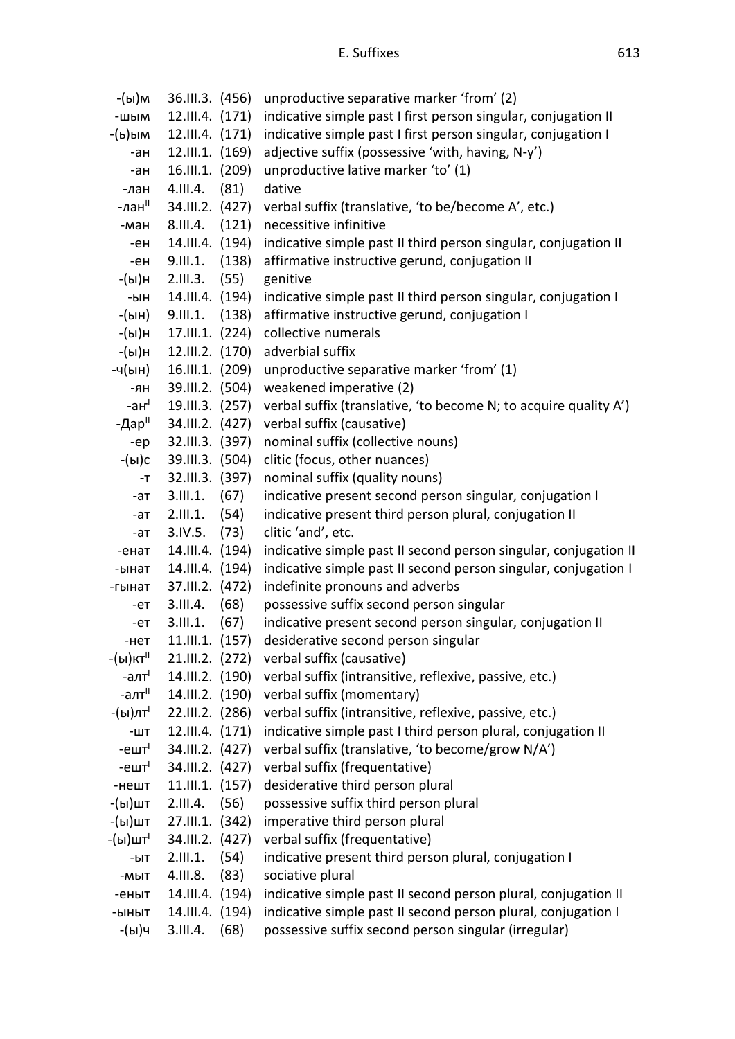| -(ы)м               | 36.III.3. (456) |       | unproductive separative marker 'from' (2)                        |
|---------------------|-----------------|-------|------------------------------------------------------------------|
| -шым                | 12.III.4. (171) |       | indicative simple past I first person singular, conjugation II   |
| -(ь)ым              | 12.III.4. (171) |       | indicative simple past I first person singular, conjugation I    |
| -ан                 | 12.III.1. (169) |       | adjective suffix (possessive 'with, having, N-y')                |
| -ан                 | 16.III.1. (209) |       | unproductive lative marker 'to' (1)                              |
| -лан                | 4.III.4.        | (81)  | dative                                                           |
| -лан"               | 34.III.2. (427) |       | verbal suffix (translative, 'to be/become A', etc.)              |
| -ман                | 8.III.4.        | (121) | necessitive infinitive                                           |
| -ен                 | 14.III.4. (194) |       | indicative simple past II third person singular, conjugation II  |
| -ен                 | 9.III.1.        | (138) | affirmative instructive gerund, conjugation II                   |
| -(ы)н               | 2.111.3.        | (55)  | genitive                                                         |
| -ын                 | 14.III.4. (194) |       | indicative simple past II third person singular, conjugation I   |
| -(ын)               | 9.111.1.        | (138) | affirmative instructive gerund, conjugation I                    |
| -(ы)н               | 17.III.1. (224) |       | collective numerals                                              |
| -(ы)н               | 12.III.2. (170) |       | adverbial suffix                                                 |
| -ч(ын)              | 16.III.1. (209) |       | unproductive separative marker 'from' (1)                        |
| -ян                 | 39.III.2. (504) |       | weakened imperative (2)                                          |
| -ан $^{\mathsf{I}}$ | 19.III.3. (257) |       | verbal suffix (translative, 'to become N; to acquire quality A') |
| -Дар"               | 34.III.2. (427) |       | verbal suffix (causative)                                        |
| -ep                 | 32.III.3. (397) |       | nominal suffix (collective nouns)                                |
| -(ы)с               | 39.III.3. (504) |       | clitic (focus, other nuances)                                    |
| $-T$                | 32.III.3. (397) |       | nominal suffix (quality nouns)                                   |
| -ат                 | 3.111.1.        | (67)  | indicative present second person singular, conjugation I         |
| -ат                 | 2.111.1.        | (54)  | indicative present third person plural, conjugation II           |
| -ат                 | 3.IV.5.         | (73)  | clitic 'and', etc.                                               |
| -енат               | 14.III.4. (194) |       | indicative simple past II second person singular, conjugation II |
| -ынат               | 14.III.4. (194) |       | indicative simple past II second person singular, conjugation I  |
| -гынат              | 37.III.2. (472) |       | indefinite pronouns and adverbs                                  |
| -ет                 | 3.III.4.        | (68)  | possessive suffix second person singular                         |
| -eт                 | 3.111.1.        | (67)  | indicative present second person singular, conjugation II        |
| -нет                | 11.III.1. (157) |       | desiderative second person singular                              |
| -(ы)кт"             | 21.III.2. (272) |       | verbal suffix (causative)                                        |
| -алт <sup>і</sup>   | 14.III.2. (190) |       | verbal suffix (intransitive, reflexive, passive, etc.)           |
| -алт <sup>іі</sup>  | 14.III.2. (190) |       | verbal suffix (momentary)                                        |
| -(ы)лт <sup>і</sup> | 22.III.2. (286) |       | verbal suffix (intransitive, reflexive, passive, etc.)           |
| $-WT$               | 12.III.4. (171) |       | indicative simple past I third person plural, conjugation II     |
| -ешт $\mathsf{I}$   | 34.III.2. (427) |       | verbal suffix (translative, 'to become/grow N/A')                |
| $-e$ шт $1$         | 34.III.2. (427) |       | verbal suffix (frequentative)                                    |
| -нешт               | 11.III.1. (157) |       | desiderative third person plural                                 |
| -(ы)шт              | 2.III.4.        | (56)  | possessive suffix third person plural                            |
| -(ы)шт              | 27.III.1. (342) |       | imperative third person plural                                   |
| -(ы)шт'             | 34.III.2. (427) |       | verbal suffix (frequentative)                                    |
| -bIT                | 2.111.1.        | (54)  | indicative present third person plural, conjugation I            |
| -MbIT               | 4.111.8.        | (83)  | sociative plural                                                 |
| -еныт               | 14.III.4. (194) |       | indicative simple past II second person plural, conjugation II   |
| -ыныт               | 14.III.4. (194) |       | indicative simple past II second person plural, conjugation I    |
| -(ы)ч               | 3.III.4.        | (68)  | possessive suffix second person singular (irregular)             |